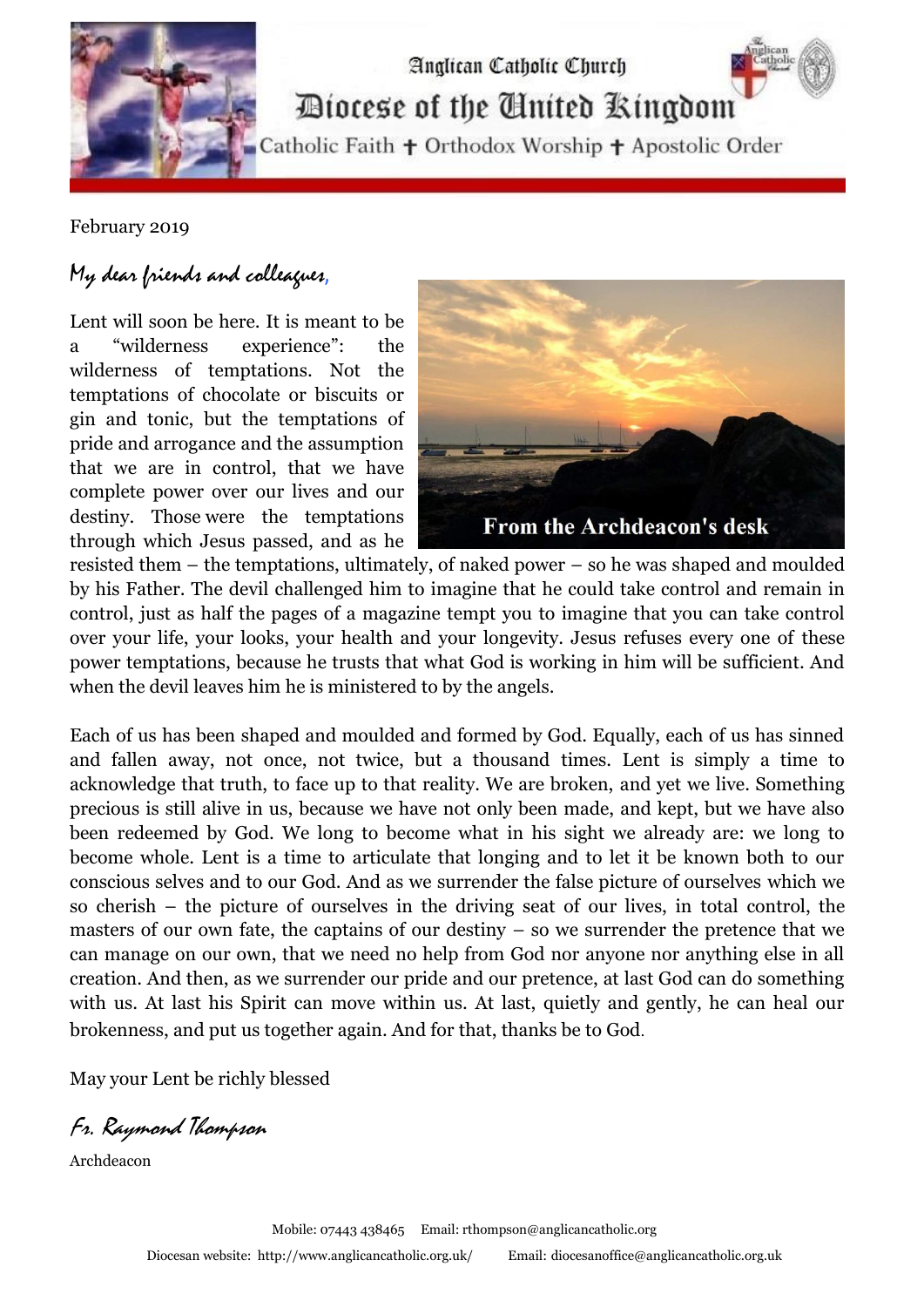

Diocese of the United Kingdom

Analican Catholic Church

Catholic Faith + Orthodox Worship + Apostolic Order

February 2019

## My dear friends and colleagues,

Lent will soon be here. It is meant to be a "wilderness experience": the wilderness of temptations. Not the temptations of chocolate or biscuits or gin and tonic, but the temptations of pride and arrogance and the assumption that we are in control, that we have complete power over our lives and our destiny. Those were the temptations through which Jesus passed, and as he



resisted them – the temptations, ultimately, of naked power – so he was shaped and moulded by his Father. The devil challenged him to imagine that he could take control and remain in control, just as half the pages of a magazine tempt you to imagine that you can take control over your life, your looks, your health and your longevity. Jesus refuses every one of these power temptations, because he trusts that what God is working in him will be sufficient. And when the devil leaves him he is ministered to by the angels.

Each of us has been shaped and moulded and formed by God. Equally, each of us has sinned and fallen away, not once, not twice, but a thousand times. Lent is simply a time to acknowledge that truth, to face up to that reality. We are broken, and yet we live. Something precious is still alive in us, because we have not only been made, and kept, but we have also been redeemed by God. We long to become what in his sight we already are: we long to become whole. Lent is a time to articulate that longing and to let it be known both to our conscious selves and to our God. And as we surrender the false picture of ourselves which we so cherish – the picture of ourselves in the driving seat of our lives, in total control, the masters of our own fate, the captains of our destiny – so we surrender the pretence that we can manage on our own, that we need no help from God nor anyone nor anything else in all creation. And then, as we surrender our pride and our pretence, at last God can do something with us. At last his Spirit can move within us. At last, quietly and gently, he can heal our brokenness, and put us together again. And for that, thanks be to God.

May your Lent be richly blessed

Fr. Raymond Thompson

Archdeacon